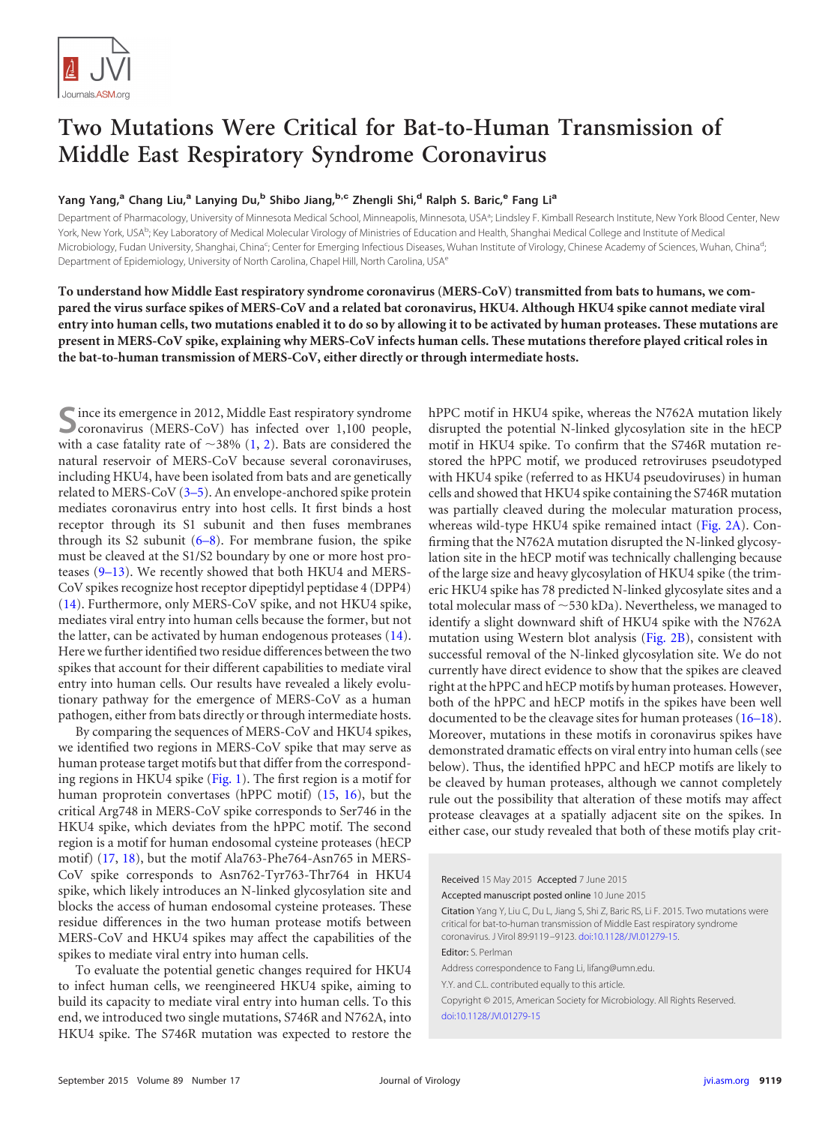

## **Two Mutations Were Critical for Bat-to-Human Transmission of Middle East Respiratory Syndrome Coronavirus**

## **Yang Yang,<sup>a</sup> Chang Liu,<sup>a</sup> Lanying Du,<sup>b</sup> Shibo Jiang,b,c Zhengli Shi,<sup>d</sup> Ralph S. Baric,<sup>e</sup> Fang Li<sup>a</sup>**

Department of Pharmacology, University of Minnesota Medical School, Minneapolis, Minnesota, USA<sup>a</sup>; Lindsley F. Kimball Research Institute, New York Blood Center, New York, New York, USA<sup>b</sup>; Key Laboratory of Medical Molecular Virology of Ministries of Education and Health, Shanghai Medical College and Institute of Medical Microbiology, Fudan University, Shanghai, China<sup>c</sup>; Center for Emerging Infectious Diseases, Wuhan Institute of Virology, Chinese Academy of Sciences, Wuhan, China<sup>d</sup> ; Department of Epidemiology, University of North Carolina, Chapel Hill, North Carolina, USA<sup>e</sup>

**To understand how Middle East respiratory syndrome coronavirus (MERS-CoV) transmitted from bats to humans, we compared the virus surface spikes of MERS-CoV and a related bat coronavirus, HKU4. Although HKU4 spike cannot mediate viral entry into human cells, two mutations enabled it to do so by allowing it to be activated by human proteases. These mutations are present in MERS-CoV spike, explaining why MERS-CoV infects human cells. These mutations therefore played critical roles in the bat-to-human transmission of MERS-CoV, either directly or through intermediate hosts.**

**S**ince its emergence in 2012, Middle East respiratory syndrome coronavirus (MERS-CoV) has infected over 1,100 people, with a case fatality rate of  $\sim$ 38% [\(1,](#page-3-0) [2\)](#page-3-1). Bats are considered the natural reservoir of MERS-CoV because several coronaviruses, including HKU4, have been isolated from bats and are genetically related to MERS-CoV [\(3](#page-4-0)[–](#page-4-1)[5\)](#page-4-2). An envelope-anchored spike protein mediates coronavirus entry into host cells. It first binds a host receptor through its S1 subunit and then fuses membranes through its S2 subunit  $(6-8)$  $(6-8)$  $(6-8)$ . For membrane fusion, the spike must be cleaved at the S1/S2 boundary by one or more host proteases [\(9](#page-4-6)[–](#page-4-7)[13\)](#page-4-8). We recently showed that both HKU4 and MERS-CoV spikes recognize host receptor dipeptidyl peptidase 4 (DPP4) [\(14\)](#page-4-9). Furthermore, only MERS-CoV spike, and not HKU4 spike, mediates viral entry into human cells because the former, but not the latter, can be activated by human endogenous proteases [\(14\)](#page-4-9). Here we further identified two residue differences between the two spikes that account for their different capabilities to mediate viral entry into human cells. Our results have revealed a likely evolutionary pathway for the emergence of MERS-CoV as a human pathogen, either from bats directly or through intermediate hosts.

By comparing the sequences of MERS-CoV and HKU4 spikes, we identified two regions in MERS-CoV spike that may serve as human protease target motifs but that differ from the corresponding regions in HKU4 spike [\(Fig. 1\)](#page-1-0). The first region is a motif for human proprotein convertases (hPPC motif) [\(15,](#page-4-10) [16\)](#page-4-11), but the critical Arg748 in MERS-CoV spike corresponds to Ser746 in the HKU4 spike, which deviates from the hPPC motif. The second region is a motif for human endosomal cysteine proteases (hECP motif) [\(17,](#page-4-12) [18\)](#page-4-13), but the motif Ala763-Phe764-Asn765 in MERS-CoV spike corresponds to Asn762-Tyr763-Thr764 in HKU4 spike, which likely introduces an N-linked glycosylation site and blocks the access of human endosomal cysteine proteases. These residue differences in the two human protease motifs between MERS-CoV and HKU4 spikes may affect the capabilities of the spikes to mediate viral entry into human cells.

To evaluate the potential genetic changes required for HKU4 to infect human cells, we reengineered HKU4 spike, aiming to build its capacity to mediate viral entry into human cells. To this end, we introduced two single mutations, S746R and N762A, into HKU4 spike. The S746R mutation was expected to restore the hPPC motif in HKU4 spike, whereas the N762A mutation likely disrupted the potential N-linked glycosylation site in the hECP motif in HKU4 spike. To confirm that the S746R mutation restored the hPPC motif, we produced retroviruses pseudotyped with HKU4 spike (referred to as HKU4 pseudoviruses) in human cells and showed that HKU4 spike containing the S746R mutation was partially cleaved during the molecular maturation process, whereas wild-type HKU4 spike remained intact [\(Fig. 2A\)](#page-1-1). Confirming that the N762A mutation disrupted the N-linked glycosylation site in the hECP motif was technically challenging because of the large size and heavy glycosylation of HKU4 spike (the trimeric HKU4 spike has 78 predicted N-linked glycosylate sites and a total molecular mass of  $\sim$  530 kDa). Nevertheless, we managed to identify a slight downward shift of HKU4 spike with the N762A mutation using Western blot analysis [\(Fig. 2B\)](#page-1-1), consistent with successful removal of the N-linked glycosylation site. We do not currently have direct evidence to show that the spikes are cleaved right at the hPPC and hECP motifs by human proteases. However, both of the hPPC and hECP motifs in the spikes have been well documented to be the cleavage sites for human proteases [\(16](#page-4-11)[–](#page-4-12)[18\)](#page-4-13). Moreover, mutations in these motifs in coronavirus spikes have demonstrated dramatic effects on viral entry into human cells (see below). Thus, the identified hPPC and hECP motifs are likely to be cleaved by human proteases, although we cannot completely rule out the possibility that alteration of these motifs may affect protease cleavages at a spatially adjacent site on the spikes. In either case, our study revealed that both of these motifs play crit-

Received 15 May 2015 Accepted 7 June 2015 Accepted manuscript posted online 10 June 2015

Citation Yang Y, Liu C, Du L, Jiang S, Shi Z, Baric RS, Li F. 2015. Two mutations were critical for bat-to-human transmission of Middle East respiratory syndrome coronavirus. J Virol 89:9119 –9123. [doi:10.1128/JVI.01279-15.](http://dx.doi.org/10.1128/JVI.01279-15) Editor: S. Perlman

Address correspondence to Fang Li, lifang@umn.edu.

Y.Y. and C.L. contributed equally to this article.

Copyright © 2015, American Society for Microbiology. All Rights Reserved. [doi:10.1128/JVI.01279-15](http://dx.doi.org/10.1128/JVI.01279-15)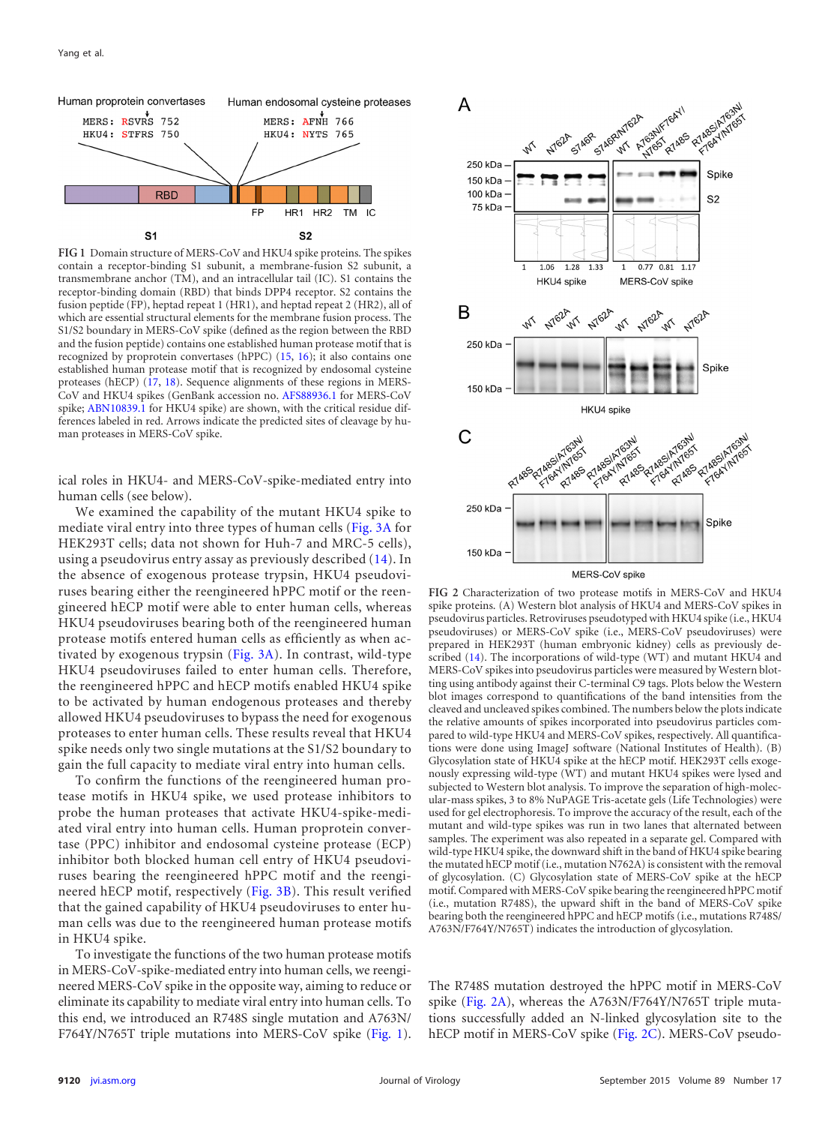

<span id="page-1-0"></span>**FIG 1** Domain structure of MERS-CoV and HKU4 spike proteins. The spikes contain a receptor-binding S1 subunit, a membrane-fusion S2 subunit, a transmembrane anchor (TM), and an intracellular tail (IC). S1 contains the receptor-binding domain (RBD) that binds DPP4 receptor. S2 contains the fusion peptide (FP), heptad repeat 1 (HR1), and heptad repeat 2 (HR2), all of which are essential structural elements for the membrane fusion process. The S1/S2 boundary in MERS-CoV spike (defined as the region between the RBD and the fusion peptide) contains one established human protease motif that is recognized by proprotein convertases (hPPC) [\(15,](#page-4-10) [16\)](#page-4-11); it also contains one established human protease motif that is recognized by endosomal cysteine proteases (hECP) [\(17,](#page-4-12) [18\)](#page-4-13). Sequence alignments of these regions in MERS-CoV and HKU4 spikes (GenBank accession no. [AFS88936.1](http://www.ncbi.nlm.nih.gov/nuccore?term=AFS88936.1) for MERS-CoV spike; [ABN10839.1](http://www.ncbi.nlm.nih.gov/nuccore?term=ABN10839.1) for HKU4 spike) are shown, with the critical residue differences labeled in red. Arrows indicate the predicted sites of cleavage by human proteases in MERS-CoV spike.

ical roles in HKU4- and MERS-CoV-spike-mediated entry into human cells (see below).

We examined the capability of the mutant HKU4 spike to mediate viral entry into three types of human cells [\(Fig. 3A](#page-2-0) for HEK293T cells; data not shown for Huh-7 and MRC-5 cells), using a pseudovirus entry assay as previously described [\(14\)](#page-4-9). In the absence of exogenous protease trypsin, HKU4 pseudoviruses bearing either the reengineered hPPC motif or the reengineered hECP motif were able to enter human cells, whereas HKU4 pseudoviruses bearing both of the reengineered human protease motifs entered human cells as efficiently as when activated by exogenous trypsin [\(Fig. 3A\)](#page-2-0). In contrast, wild-type HKU4 pseudoviruses failed to enter human cells. Therefore, the reengineered hPPC and hECP motifs enabled HKU4 spike to be activated by human endogenous proteases and thereby allowed HKU4 pseudoviruses to bypass the need for exogenous proteases to enter human cells. These results reveal that HKU4 spike needs only two single mutations at the S1/S2 boundary to gain the full capacity to mediate viral entry into human cells.

To confirm the functions of the reengineered human protease motifs in HKU4 spike, we used protease inhibitors to probe the human proteases that activate HKU4-spike-mediated viral entry into human cells. Human proprotein convertase (PPC) inhibitor and endosomal cysteine protease (ECP) inhibitor both blocked human cell entry of HKU4 pseudoviruses bearing the reengineered hPPC motif and the reengineered hECP motif, respectively [\(Fig. 3B\)](#page-2-0). This result verified that the gained capability of HKU4 pseudoviruses to enter human cells was due to the reengineered human protease motifs in HKU4 spike.

To investigate the functions of the two human protease motifs in MERS-CoV-spike-mediated entry into human cells, we reengineered MERS-CoV spike in the opposite way, aiming to reduce or eliminate its capability to mediate viral entry into human cells. To this end, we introduced an R748S single mutation and A763N/ F764Y/N765T triple mutations into MERS-CoV spike [\(Fig. 1\)](#page-1-0).



<span id="page-1-1"></span>**FIG 2** Characterization of two protease motifs in MERS-CoV and HKU4 spike proteins. (A) Western blot analysis of HKU4 and MERS-CoV spikes in pseudovirus particles. Retroviruses pseudotyped with HKU4 spike (i.e., HKU4 pseudoviruses) or MERS-CoV spike (i.e., MERS-CoV pseudoviruses) were prepared in HEK293T (human embryonic kidney) cells as previously described [\(14\)](#page-4-9). The incorporations of wild-type (WT) and mutant HKU4 and MERS-CoV spikes into pseudovirus particles were measured by Western blotting using antibody against their C-terminal C9 tags. Plots below the Western blot images correspond to quantifications of the band intensities from the cleaved and uncleaved spikes combined. The numbers below the plots indicate the relative amounts of spikes incorporated into pseudovirus particles compared to wild-type HKU4 and MERS-CoV spikes, respectively. All quantifications were done using ImageJ software (National Institutes of Health). (B) Glycosylation state of HKU4 spike at the hECP motif. HEK293T cells exogenously expressing wild-type (WT) and mutant HKU4 spikes were lysed and subjected to Western blot analysis. To improve the separation of high-molecular-mass spikes, 3 to 8% NuPAGE Tris-acetate gels (Life Technologies) were used for gel electrophoresis. To improve the accuracy of the result, each of the mutant and wild-type spikes was run in two lanes that alternated between samples. The experiment was also repeated in a separate gel. Compared with wild-type HKU4 spike, the downward shift in the band of HKU4 spike bearing the mutated hECP motif (i.e., mutation N762A) is consistent with the removal of glycosylation. (C) Glycosylation state of MERS-CoV spike at the hECP motif. Compared with MERS-CoV spike bearing the reengineered hPPC motif (i.e., mutation R748S), the upward shift in the band of MERS-CoV spike bearing both the reengineered hPPC and hECP motifs (i.e., mutations R748S/ A763N/F764Y/N765T) indicates the introduction of glycosylation.

The R748S mutation destroyed the hPPC motif in MERS-CoV spike [\(Fig. 2A\)](#page-1-1), whereas the A763N/F764Y/N765T triple mutations successfully added an N-linked glycosylation site to the hECP motif in MERS-CoV spike [\(Fig. 2C\)](#page-1-1). MERS-CoV pseudo-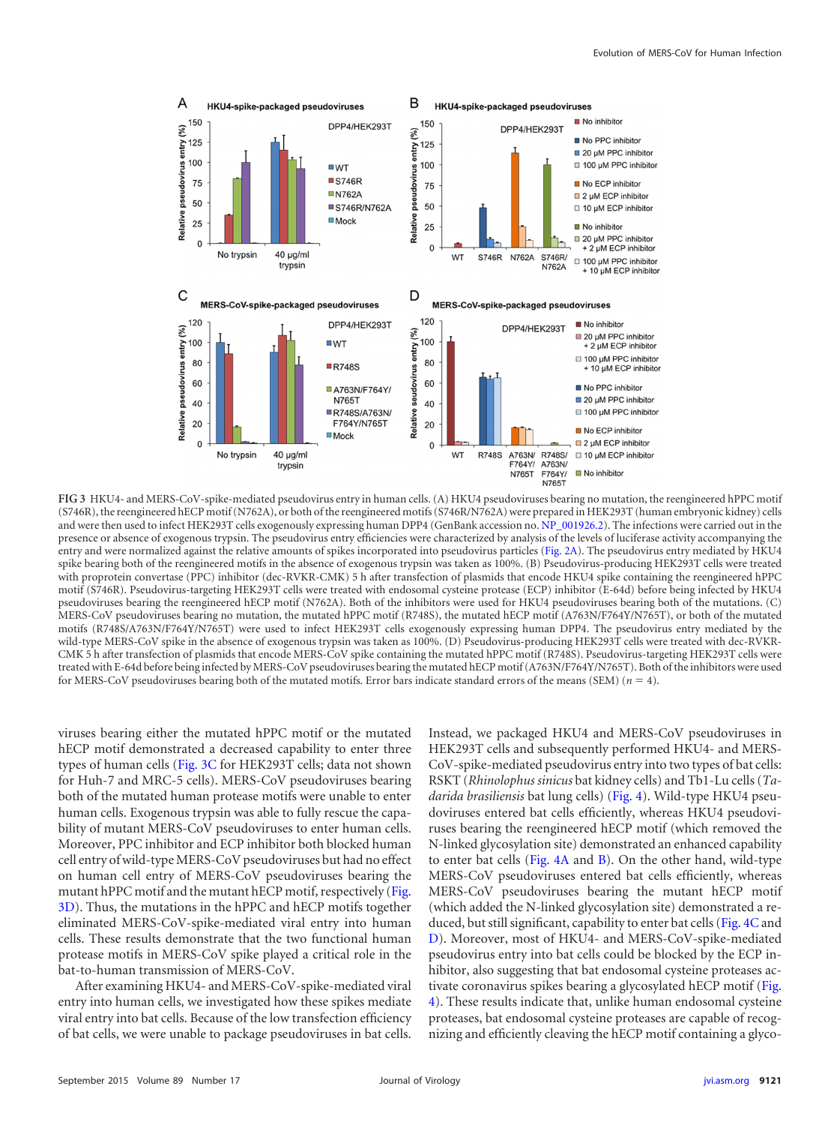

<span id="page-2-0"></span>**FIG 3** HKU4- and MERS-CoV-spike-mediated pseudovirus entry in human cells. (A) HKU4 pseudoviruses bearing no mutation, the reengineered hPPC motif (S746R), the reengineered hECP motif (N762A), or both of the reengineered motifs (S746R/N762A) were prepared in HEK293T (human embryonic kidney) cells and were then used to infect HEK293T cells exogenously expressing human DPP4 (GenBank accession no. [NP\\_001926.2\)](http://www.ncbi.nlm.nih.gov/nuccore?term=NP_001926.2). The infections were carried out in the presence or absence of exogenous trypsin. The pseudovirus entry efficiencies were characterized by analysis of the levels of luciferase activity accompanying the entry and were normalized against the relative amounts of spikes incorporated into pseudovirus particles [\(Fig. 2A\)](#page-1-1). The pseudovirus entry mediated by HKU4 spike bearing both of the reengineered motifs in the absence of exogenous trypsin was taken as 100%. (B) Pseudovirus-producing HEK293T cells were treated with proprotein convertase (PPC) inhibitor (dec-RVKR-CMK) 5 h after transfection of plasmids that encode HKU4 spike containing the reengineered hPPC motif (S746R). Pseudovirus-targeting HEK293T cells were treated with endosomal cysteine protease (ECP) inhibitor (E-64d) before being infected by HKU4 pseudoviruses bearing the reengineered hECP motif (N762A). Both of the inhibitors were used for HKU4 pseudoviruses bearing both of the mutations. (C) MERS-CoV pseudoviruses bearing no mutation, the mutated hPPC motif (R748S), the mutated hECP motif (A763N/F764Y/N765T), or both of the mutated motifs (R748S/A763N/F764Y/N765T) were used to infect HEK293T cells exogenously expressing human DPP4. The pseudovirus entry mediated by the wild-type MERS-CoV spike in the absence of exogenous trypsin was taken as 100%. (D) Pseudovirus-producing HEK293T cells were treated with dec-RVKR-CMK 5 h after transfection of plasmids that encode MERS-CoV spike containing the mutated hPPC motif (R748S). Pseudovirus-targeting HEK293T cells were treated with E-64d before being infected by MERS-CoV pseudoviruses bearing the mutated hECP motif (A763N/F764Y/N765T). Both of the inhibitors were used for MERS-CoV pseudoviruses bearing both of the mutated motifs. Error bars indicate standard errors of the means (SEM)  $(n = 4)$ .

viruses bearing either the mutated hPPC motif or the mutated hECP motif demonstrated a decreased capability to enter three types of human cells [\(Fig. 3C](#page-2-0) for HEK293T cells; data not shown for Huh-7 and MRC-5 cells). MERS-CoV pseudoviruses bearing both of the mutated human protease motifs were unable to enter human cells. Exogenous trypsin was able to fully rescue the capability of mutant MERS-CoV pseudoviruses to enter human cells. Moreover, PPC inhibitor and ECP inhibitor both blocked human cell entry of wild-type MERS-CoV pseudoviruses but had no effect on human cell entry of MERS-CoV pseudoviruses bearing the mutant hPPC motif and the mutant hECP motif, respectively [\(Fig.](#page-2-0) [3D\)](#page-2-0). Thus, the mutations in the hPPC and hECP motifs together eliminated MERS-CoV-spike-mediated viral entry into human cells. These results demonstrate that the two functional human protease motifs in MERS-CoV spike played a critical role in the bat-to-human transmission of MERS-CoV.

After examining HKU4- and MERS-CoV-spike-mediated viral entry into human cells, we investigated how these spikes mediate viral entry into bat cells. Because of the low transfection efficiency of bat cells, we were unable to package pseudoviruses in bat cells. Instead, we packaged HKU4 and MERS-CoV pseudoviruses in HEK293T cells and subsequently performed HKU4- and MERS-CoV-spike-mediated pseudovirus entry into two types of bat cells: RSKT (*Rhinolophus sinicus* bat kidney cells) and Tb1-Lu cells (*Tadarida brasiliensis* bat lung cells) [\(Fig. 4\)](#page-3-2). Wild-type HKU4 pseudoviruses entered bat cells efficiently, whereas HKU4 pseudoviruses bearing the reengineered hECP motif (which removed the N-linked glycosylation site) demonstrated an enhanced capability to enter bat cells [\(Fig. 4A](#page-3-2) and [B\)](#page-3-2). On the other hand, wild-type MERS-CoV pseudoviruses entered bat cells efficiently, whereas MERS-CoV pseudoviruses bearing the mutant hECP motif (which added the N-linked glycosylation site) demonstrated a reduced, but still significant, capability to enter bat cells [\(Fig. 4C](#page-3-2) and [D\)](#page-3-2). Moreover, most of HKU4- and MERS-CoV-spike-mediated pseudovirus entry into bat cells could be blocked by the ECP inhibitor, also suggesting that bat endosomal cysteine proteases activate coronavirus spikes bearing a glycosylated hECP motif [\(Fig.](#page-3-2) [4\)](#page-3-2). These results indicate that, unlike human endosomal cysteine proteases, bat endosomal cysteine proteases are capable of recognizing and efficiently cleaving the hECP motif containing a glyco-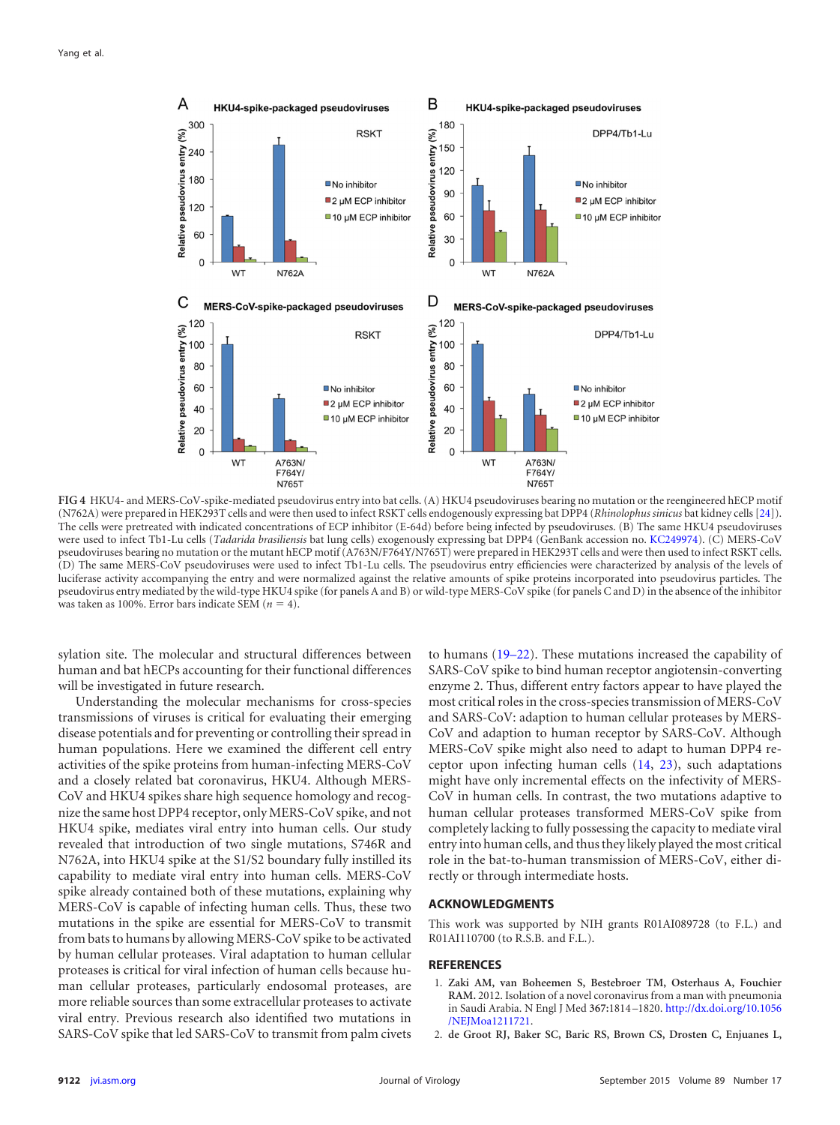

<span id="page-3-2"></span>**FIG 4** HKU4- and MERS-CoV-spike-mediated pseudovirus entry into bat cells. (A) HKU4 pseudoviruses bearing no mutation or the reengineered hECP motif (N762A) were prepared in HEK293T cells and were then used to infect RSKT cells endogenously expressing bat DPP4 (*Rhinolophus sinicus* bat kidney cells [\[24\]](#page-4-18)). The cells were pretreated with indicated concentrations of ECP inhibitor (E-64d) before being infected by pseudoviruses. (B) The same HKU4 pseudoviruses were used to infect Tb1-Lu cells (*Tadarida brasiliensis* bat lung cells) exogenously expressing bat DPP4 (GenBank accession no. [KC249974\)](http://www.ncbi.nlm.nih.gov/nuccore?term=KC249974). (C) MERS-CoV pseudoviruses bearing no mutation or the mutant hECP motif (A763N/F764Y/N765T) were prepared in HEK293T cells and were then used to infect RSKT cells. (D) The same MERS-CoV pseudoviruses were used to infect Tb1-Lu cells. The pseudovirus entry efficiencies were characterized by analysis of the levels of luciferase activity accompanying the entry and were normalized against the relative amounts of spike proteins incorporated into pseudovirus particles. The pseudovirus entry mediated by the wild-type HKU4 spike (for panels A and B) or wild-type MERS-CoV spike (for panels C and D) in the absence of the inhibitor was taken as 100%. Error bars indicate SEM  $(n = 4)$ .

sylation site. The molecular and structural differences between human and bat hECPs accounting for their functional differences will be investigated in future research.

Understanding the molecular mechanisms for cross-species transmissions of viruses is critical for evaluating their emerging disease potentials and for preventing or controlling their spread in human populations. Here we examined the different cell entry activities of the spike proteins from human-infecting MERS-CoV and a closely related bat coronavirus, HKU4. Although MERS-CoV and HKU4 spikes share high sequence homology and recognize the same host DPP4 receptor, only MERS-CoV spike, and not HKU4 spike, mediates viral entry into human cells. Our study revealed that introduction of two single mutations, S746R and N762A, into HKU4 spike at the S1/S2 boundary fully instilled its capability to mediate viral entry into human cells. MERS-CoV spike already contained both of these mutations, explaining why MERS-CoV is capable of infecting human cells. Thus, these two mutations in the spike are essential for MERS-CoV to transmit from bats to humans by allowing MERS-CoV spike to be activated by human cellular proteases. Viral adaptation to human cellular proteases is critical for viral infection of human cells because human cellular proteases, particularly endosomal proteases, are more reliable sources than some extracellular proteases to activate viral entry. Previous research also identified two mutations in SARS-CoV spike that led SARS-CoV to transmit from palm civets

to humans [\(19](#page-4-14)[–](#page-4-15)[22\)](#page-4-16). These mutations increased the capability of SARS-CoV spike to bind human receptor angiotensin-converting enzyme 2. Thus, different entry factors appear to have played the most critical roles in the cross-species transmission of MERS-CoV and SARS-CoV: adaption to human cellular proteases by MERS-CoV and adaption to human receptor by SARS-CoV. Although MERS-CoV spike might also need to adapt to human DPP4 receptor upon infecting human cells [\(14,](#page-4-9) [23\)](#page-4-17), such adaptations might have only incremental effects on the infectivity of MERS-CoV in human cells. In contrast, the two mutations adaptive to human cellular proteases transformed MERS-CoV spike from completely lacking to fully possessing the capacity to mediate viral entry into human cells, and thus they likely played the most critical role in the bat-to-human transmission of MERS-CoV, either directly or through intermediate hosts.

## **ACKNOWLEDGMENTS**

This work was supported by NIH grants R01AI089728 (to F.L.) and R01AI110700 (to R.S.B. and F.L.).

## <span id="page-3-0"></span>**REFERENCES**

- 1. **Zaki AM, van Boheemen S, Bestebroer TM, Osterhaus A, Fouchier RAM.** 2012. Isolation of a novel coronavirus from a man with pneumonia in Saudi Arabia. N Engl J Med **367:**1814 –1820. [http://dx.doi.org/10.1056](http://dx.doi.org/10.1056/NEJMoa1211721) [/NEJMoa1211721.](http://dx.doi.org/10.1056/NEJMoa1211721)
- <span id="page-3-1"></span>2. **de Groot RJ, Baker SC, Baric RS, Brown CS, Drosten C, Enjuanes L,**